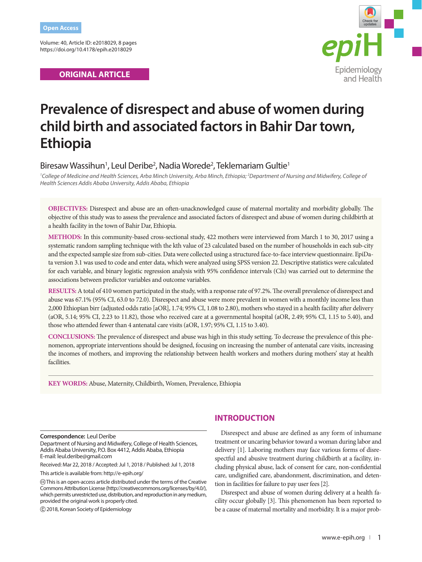Volume: 40, Article ID: e2018029, 8 pages https://doi.org/10.4178/epih.e2018029

# **ORIGINAL ARTICLE**



# **Prevalence of disrespect and abuse of women during child birth and associated factors in Bahir Dar town, Ethiopia**

# Biresaw Wassihun<sup>1</sup>, Leul Deribe<sup>2</sup>, Nadia Worede<sup>2</sup>, Teklemariam Gultie<sup>1</sup>

*1 College of Medicine and Health Sciences, Arba Minch University, Arba Minch, Ethiopia; 2 Department of Nursing and Midwifery, College of Health Sciences Addis Ababa University, Addis Ababa, Ethiopia* 

**OBJECTIVES:** Disrespect and abuse are an often-unacknowledged cause of maternal mortality and morbidity globally. The objective of this study was to assess the prevalence and associated factors of disrespect and abuse of women during childbirth at a health facility in the town of Bahir Dar, Ethiopia.

**METHODS:** In this community-based cross-sectional study, 422 mothers were interviewed from March 1 to 30, 2017 using a systematic random sampling technique with the kth value of 23 calculated based on the number of households in each sub-city and the expected sample size from sub-cities. Data were collected using a structured face-to-face interview questionnaire. EpiData version 3.1 was used to code and enter data, which were analyzed using SPSS version 22. Descriptive statistics were calculated for each variable, and binary logistic regression analysis with 95% confidence intervals (CIs) was carried out to determine the associations between predictor variables and outcome variables.

**RESULTS:** A total of 410 women participated in the study, with a response rate of 97.2%. The overall prevalence of disrespect and abuse was 67.1% (95% CI, 63.0 to 72.0). Disrespect and abuse were more prevalent in women with a monthly income less than 2,000 Ethiopian birr (adjusted odds ratio [aOR], 1.74; 95% CI, 1.08 to 2.80), mothers who stayed in a health facility after delivery (aOR, 5.14; 95% CI, 2.23 to 11.82), those who received care at a governmental hospital (aOR, 2.49; 95% CI, 1.15 to 5.40), and those who attended fewer than 4 antenatal care visits (aOR, 1.97; 95% CI, 1.15 to 3.40).

**CONCLUSIONS:** The prevalence of disrespect and abuse was high in this study setting. To decrease the prevalence of this phenomenon, appropriate interventions should be designed, focusing on increasing the number of antenatal care visits, increasing the incomes of mothers, and improving the relationship between health workers and mothers during mothers' stay at health facilities.

**KEY WORDS:** Abuse, Maternity, Childbirth, Women, Prevalence, Ethiopia

**Correspondence:** Leul Deribe

Department of Nursing and Midwifery, College of Health Sciences, Addis Ababa University, P.O. Box 4412, Addis Ababa, Ethiopia E-mail: leul.deribe@gmail.com

Received: Mar 22, 2018 / Accepted: Jul 1, 2018 / Published: Jul 1, 2018

This article is available from: http://e-epih.org/

 This is an open-access article distributed under the terms of the Creative Commons Attribution License (http://creativecommons.org/licenses/by/4.0/), which permits unrestricted use, distribution, and reproduction in any medium, provided the original work is properly cited.

2018, Korean Society of Epidemiology

# **INTRODUCTION**

Disrespect and abuse are defined as any form of inhumane treatment or uncaring behavior toward a woman during labor and delivery [1]. Laboring mothers may face various forms of disrespectful and abusive treatment during childbirth at a facility, including physical abuse, lack of consent for care, non-confidential care, undignified care, abandonment, discrimination, and detention in facilities for failure to pay user fees [2].

Disrespect and abuse of women during delivery at a health facility occur globally [3]. This phenomenon has been reported to be a cause of maternal mortality and morbidity. It is a major prob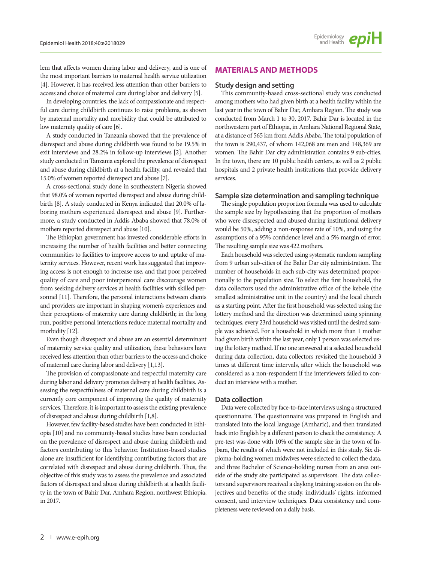lem that affects women during labor and delivery, and is one of the most important barriers to maternal health service utilization [4]. However, it has received less attention than other barriers to access and choice of maternal care during labor and delivery [5].

In developing countries, the lack of compassionate and respectful care during childbirth continues to raise problems, as shown by maternal mortality and morbidity that could be attributed to low maternity quality of care [6].

A study conducted in Tanzania showed that the prevalence of disrespect and abuse during childbirth was found to be 19.5% in exit interviews and 28.2% in follow-up interviews [2]. Another study conducted in Tanzania explored the prevalence of disrespect and abuse during childbirth at a health facility, and revealed that 15.0% of women reported disrespect and abuse [7].

A cross-sectional study done in southeastern Nigeria showed that 98.0% of women reported disrespect and abuse during childbirth [8]. A study conducted in Kenya indicated that 20.0% of laboring mothers experienced disrespect and abuse [9]. Furthermore, a study conducted in Addis Ababa showed that 78.0% of mothers reported disrespect and abuse [10].

The Ethiopian government has invested considerable efforts in increasing the number of health facilities and better connecting communities to facilities to improve access to and uptake of maternity services. However, recent work has suggested that improving access is not enough to increase use, and that poor perceived quality of care and poor interpersonal care discourage women from seeking delivery services at health facilities with skilled personnel [11]. Therefore, the personal interactions between clients and providers are important in shaping women's experiences and their perceptions of maternity care during childbirth; in the long run, positive personal interactions reduce maternal mortality and morbidity [12].

Even though disrespect and abuse are an essential determinant of maternity service quality and utilization, these behaviors have received less attention than other barriers to the access and choice of maternal care during labor and delivery [1,13].

The provision of compassionate and respectful maternity care during labor and delivery promotes delivery at health facilities. Assessing the respectfulness of maternal care during childbirth is a currently core component of improving the quality of maternity services. Therefore, it is important to assess the existing prevalence of disrespect and abuse during childbirth [1,8].

However, few facility-based studies have been conducted in Ethiopia [10] and no community-based studies have been conducted on the prevalence of disrespect and abuse during childbirth and factors contributing to this behavior. Institution-based studies alone are insufficient for identifying contributing factors that are correlated with disrespect and abuse during childbirth. Thus, the objective of this study was to assess the prevalence and associated factors of disrespect and abuse during childbirth at a health facility in the town of Bahir Dar, Amhara Region, northwest Ethiopia, in 2017.

# **MATERIALS AND METHODS**

#### **Study design and setting**

This community-based cross-sectional study was conducted among mothers who had given birth at a health facility within the last year in the town of Bahir Dar, Amhara Region. The study was conducted from March 1 to 30, 2017. Bahir Dar is located in the northwestern part of Ethiopia, in Amhara National Regional State, at a distance of 565 km from Addis Ababa. The total population of the town is 290,437, of whom 142,068 are men and 148,369 are women. The Bahir Dar city administration contains 9 sub-cities. In the town, there are 10 public health centers, as well as 2 public hospitals and 2 private health institutions that provide delivery services.

#### **Sample size determination and sampling technique**

The single population proportion formula was used to calculate the sample size by hypothesizing that the proportion of mothers who were disrespected and abused during institutional delivery would be 50%, adding a non-response rate of 10%, and using the assumptions of a 95% confidence level and a 5% margin of error. The resulting sample size was 422 mothers.

Each household was selected using systematic random sampling from 9 urban sub-cities of the Bahir Dar city administration. The number of households in each sub-city was determined proportionally to the population size. To select the first household, the data collectors used the administrative office of the kebele (the smallest administrative unit in the country) and the local church as a starting point. After the first household was selected using the lottery method and the direction was determined using spinning techniques, every 23rd household was visited until the desired sample was achieved. For a household in which more than 1 mother had given birth within the last year, only 1 person was selected using the lottery method. If no one answered at a selected household during data collection, data collectors revisited the household 3 times at different time intervals, after which the household was considered as a non-respondent if the interviewers failed to conduct an interview with a mother.

#### **Data collection**

Data were collected by face-to-face interviews using a structured questionnaire. The questionnaire was prepared in English and translated into the local language (Amharic), and then translated back into English by a different person to check the consistency. A pre-test was done with 10% of the sample size in the town of Injbara, the results of which were not included in this study. Six diploma-holding women midwives were selected to collect the data, and three Bachelor of Science-holding nurses from an area outside of the study site participated as supervisors. The data collectors and supervisors received a daylong training session on the objectives and benefits of the study, individuals' rights, informed consent, and interview techniques. Data consistency and completeness were reviewed on a daily basis.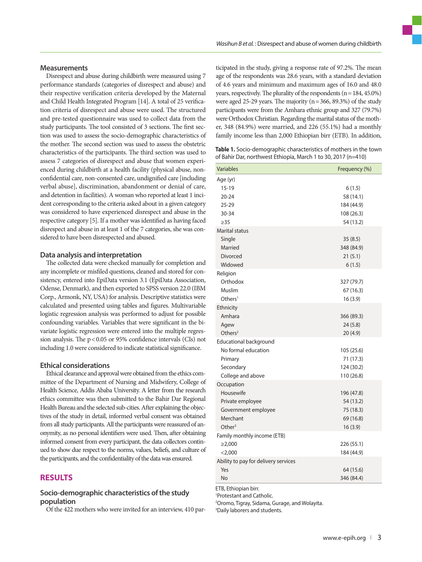#### **Measurements**

Disrespect and abuse during childbirth were measured using 7 performance standards (categories of disrespect and abuse) and their respective verification criteria developed by the Maternal and Child Health Integrated Program [14]. A total of 25 verification criteria of disrespect and abuse were used. The structured and pre-tested questionnaire was used to collect data from the study participants. The tool consisted of 3 sections. The first section was used to assess the socio-demographic characteristics of the mother. The second section was used to assess the obstetric characteristics of the participants. The third section was used to assess 7 categories of disrespect and abuse that women experienced during childbirth at a health facility (physical abuse, nonconfidential care, non-consented care, undignified care [including verbal abuse], discrimination, abandonment or denial of care, and detention in facilities). A woman who reported at least 1 incident corresponding to the criteria asked about in a given category was considered to have experienced disrespect and abuse in the respective category [5]. If a mother was identified as having faced disrespect and abuse in at least 1 of the 7 categories, she was considered to have been disrespected and abused.

#### **Data analysis and interpretation**

The collected data were checked manually for completion and any incomplete or misfiled questions, cleaned and stored for consistency, entered into EpiData version 3.1 (EpiData Association, Odense, Denmark), and then exported to SPSS version 22.0 (IBM Corp., Armonk, NY, USA) for analysis. Descriptive statistics were calculated and presented using tables and figures. Multivariable logistic regression analysis was performed to adjust for possible confounding variables. Variables that were significant in the bivariate logistic regression were entered into the multiple regression analysis. The p< 0.05 or 95% confidence intervals (CIs) not including 1.0 were considered to indicate statistical significance.

#### **Ethical considerations**

Ethical clearance and approval were obtained from the ethics committee of the Department of Nursing and Midwifery, College of Health Science, Addis Ababa University. A letter from the research ethics committee was then submitted to the Bahir Dar Regional Health Bureau and the selected sub-cities. After explaining the objectives of the study in detail, informed verbal consent was obtained from all study participants. All the participants were reassured of anonymity, as no personal identifiers were used. Then, after obtaining informed consent from every participant, the data collectors continued to show due respect to the norms, values, beliefs, and culture of the participants, and the confidentiality of the data was ensured.

# **RESULTS**

## **Socio-demographic characteristics of the study population**

Of the 422 mothers who were invited for an interview, 410 par-

ticipated in the study, giving a response rate of 97.2%. The mean age of the respondents was 28.6 years, with a standard deviation of 4.6 years and minimum and maximum ages of 16.0 and 48.0 years, respectively. The plurality of the respondents  $(n = 184, 45.0\%)$ were aged 25-29 years. The majority  $(n=366, 89.3%)$  of the study participants were from the Amhara ethnic group and 327 (79.7%) were Orthodox Christian. Regarding the marital status of the mother, 348 (84.9%) were married, and 226 (55.1%) had a monthly family income less than 2,000 Ethiopian birr (ETB). In addition,

**Table 1.** Socio-demographic characteristics of mothers in the town of Bahir Dar, northwest Ethiopia, March 1 to 30, 2017 (n=410)

| <b>Variables</b>                     | Frequency (%) |
|--------------------------------------|---------------|
| Age (yr)                             |               |
| $15-19$                              | 6(1.5)        |
| $20 - 24$                            | 58 (14.1)     |
| $25 - 29$                            | 184 (44.9)    |
| 30-34                                | 108 (26.3)    |
| $\geq$ 35                            | 54 (13.2)     |
| Marital status                       |               |
| Single                               | 35(8.5)       |
| Married                              | 348 (84.9)    |
| <b>Divorced</b>                      | 21(5.1)       |
| Widowed                              | 6(1.5)        |
| Religion                             |               |
| Orthodox                             | 327 (79.7)    |
| Muslim                               | 67 (16.3)     |
| Other <sup>1</sup>                   | 16(3.9)       |
| Ethnicity                            |               |
| Amhara                               | 366 (89.3)    |
| Agew                                 | 24(5.8)       |
| Others $2$                           | 20 (4.9)      |
| <b>Educational background</b>        |               |
| No formal education                  | 105 (25.6)    |
| Primary                              | 71 (17.3)     |
| Secondary                            | 124 (30.2)    |
| College and above                    | 110 (26.8)    |
| Occupation                           |               |
| Housewife                            | 196 (47.8)    |
| Private employee                     | 54 (13.2)     |
| Government employee                  | 75 (18.3)     |
| Merchant                             | 69 (16.8)     |
| Other $3$                            | 16(3.9)       |
| Family monthly income (ETB)          |               |
| ≥2,000                               | 226 (55.1)    |
| $<$ 2,000                            | 184 (44.9)    |
| Ability to pay for delivery services |               |
| Yes                                  | 64 (15.6)     |
| No<br>TO FULL-LIFE LIFE              | 346 (84.4)    |

ETB, Ethiopian birr.

1 Protestant and Catholic.

2 Oromo, Tigray, Sidama, Gurage, and Wolayita. 3 Daily laborers and students.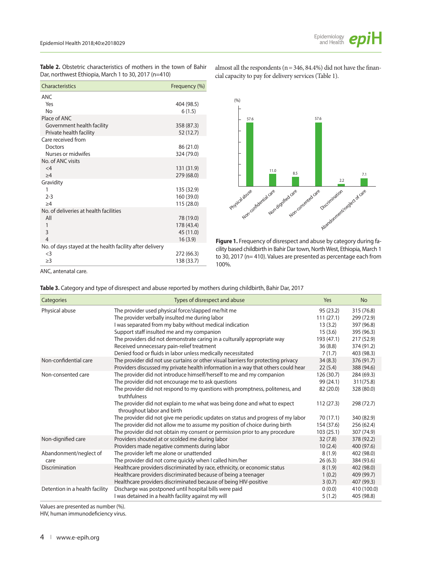

**Table 2.** Obstetric characteristics of mothers in the town of Bahir Dar, northwest Ethiopia, March 1 to 30, 2017 (n=410)

| Characteristics                                          | Frequency (%)            |
|----------------------------------------------------------|--------------------------|
| <b>ANC</b>                                               |                          |
| Yes                                                      | 404 (98.5)               |
| Nο                                                       | 6(1.5)                   |
| Place of ANC                                             |                          |
| Government health facility                               | 358 (87.3)               |
| Private health facility                                  | 52 (12.7)                |
| Care received from                                       |                          |
| Doctors                                                  | 86 (21.0)                |
| Nurses or midwifes                                       | 324 (79.0)               |
| No. of ANC visits                                        |                          |
| $\lt$ 4                                                  | 131 (31.9)               |
| >4                                                       | 279 (68.0)               |
| Gravidity                                                |                          |
| 1<br>$2 - 3$                                             | 135 (32.9)<br>160 (39.0) |
| >4                                                       | 115 (28.0)               |
| No. of deliveries at health facilities                   |                          |
| All                                                      | 78 (19.0)                |
| 1                                                        | 178 (43.4)               |
| 3                                                        | 45 (11.0)                |
| $\overline{4}$                                           | 16(3.9)                  |
| No. of days stayed at the health facility after delivery |                          |
| $\leq$ 3                                                 | 272 (66.3)               |
| $\geq$ 3                                                 | 138 (33.7)               |

almost all the respondents ( $n = 346, 84.4%$ ) did not have the financial capacity to pay for delivery services (Table 1).



**Figure 1.** Frequency of disrespect and abuse by category during facility based childbirth in Bahir Dar town, North West, Ethiopia, March 1 to 30, 2017 (n= 410). Values are presented as percentage each from 100%.

ANC, antenatal care.

| Table 3. Category and type of disrespect and abuse reported by mothers during childbirth, Bahir Dar, 2017 |  |  |  |  |
|-----------------------------------------------------------------------------------------------------------|--|--|--|--|
|-----------------------------------------------------------------------------------------------------------|--|--|--|--|

| Categories                     | Types of disrespect and abuse                                                                           | Yes        | <b>No</b>   |
|--------------------------------|---------------------------------------------------------------------------------------------------------|------------|-------------|
| Physical abuse                 | The provider used physical force/slapped me/hit me                                                      | 95 (23.2)  | 315 (76.8)  |
|                                | The provider verbally insulted me during labor                                                          | 111(27.1)  | 299 (72.9)  |
|                                | I was separated from my baby without medical indication                                                 | 13(3.2)    | 397 (96.8)  |
|                                | Support staff insulted me and my companion                                                              | 15(3.6)    | 395 (96.3)  |
|                                | The providers did not demonstrate caring in a culturally appropriate way                                | 193 (47.1) | 217 (52.9)  |
|                                | Received unnecessary pain-relief treatment                                                              | 36(8.8)    | 374 (91.2)  |
|                                | Denied food or fluids in labor unless medically necessitated                                            | 7(1.7)     | 403 (98.3)  |
| Non-confidential care          | The provider did not use curtains or other visual barriers for protecting privacy                       | 34(8.3)    | 376 (91.7)  |
|                                | Providers discussed my private health information in a way that others could hear                       | 22(5.4)    | 388 (94.6)  |
| Non-consented care             | The provider did not introduce himself/herself to me and my companion                                   | 126 (30.7) | 284 (69.3)  |
|                                | The provider did not encourage me to ask questions                                                      | 99 (24.1)  | 311(75.8)   |
|                                | The provider did not respond to my questions with promptness, politeness, and<br>truthfulness           | 82 (20.0)  | 328 (80.0)  |
|                                | The provider did not explain to me what was being done and what to expect<br>throughout labor and birth | 112(27.3)  | 298 (72.7)  |
|                                | The provider did not give me periodic updates on status and progress of my labor                        | 70 (17.1)  | 340 (82.9)  |
|                                | The provider did not allow me to assume my position of choice during birth                              | 154 (37.6) | 256 (62.4)  |
|                                | The provider did not obtain my consent or permission prior to any procedure                             | 103(25.1)  | 307 (74.9)  |
| Non-dignified care             | Providers shouted at or scolded me during labor                                                         | 32(7.8)    | 378 (92.2)  |
|                                | Providers made negative comments during labor                                                           | 10(2.4)    | 400 (97.6)  |
| Abandonment/neglect of         | The provider left me alone or unattended                                                                | 8(1.9)     | 402 (98.0)  |
| care                           | The provider did not come quickly when I called him/her                                                 | 26(6.3)    | 384 (93.6)  |
| Discrimination                 | Healthcare providers discriminated by race, ethnicity, or economic status                               | 8(1.9)     | 402 (98.0)  |
|                                | Healthcare providers discriminated because of being a teenager                                          | 1(0.2)     | 409 (99.7)  |
|                                | Healthcare providers discriminated because of being HIV-positive                                        | 3(0.7)     | 407 (99.3)  |
| Detention in a health facility | Discharge was postponed until hospital bills were paid                                                  | 0(0.0)     | 410 (100.0) |
|                                | I was detained in a health facility against my will                                                     | 5(1.2)     | 405 (98.8)  |

Values are presented as number (%).

HIV, human immunodeficiency virus.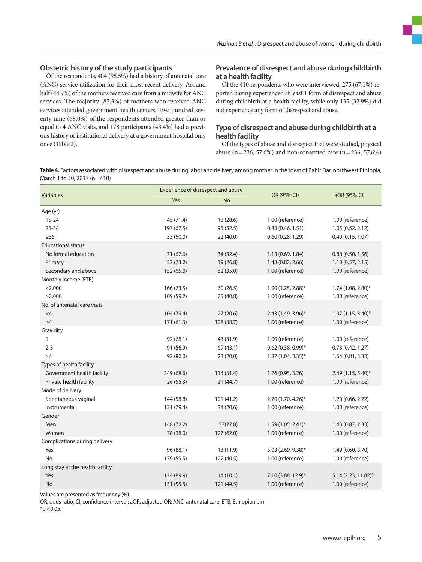#### **Obstetric history of the study participants**

Of the respondents, 404 (98.5%) had a history of antenatal care (ANC) service utilization for their most recent delivery. Around half (44.9%) of the mothers received care from a midwife for ANC services. The majority (87.3%) of mothers who received ANC services attended government health centers. Two hundred seventy nine (68.0%) of the respondents attended greater than or equal to 4 ANC visits, and 178 participants (43.4%) had a previous history of institutional delivery at a government hospital only once (Table 2).

# **Prevalence of disrespect and abuse during childbirth at a health facility**

Of the 410 respondents who were interviewed, 275 (67.1%) reported having experienced at least 1 form of disrespect and abuse during childbirth at a health facility, while only 135 (32.9%) did not experience any form of disrespect and abuse.

# **Type of disrespect and abuse during childbirth at a health facility**

Of the types of abuse and disrespect that were studied, physical abuse (n = 236, 57.6%) and non-consented care (n = 236, 57.6%)

**Table 4.** Factors associated with disrespect and abuse during labor and delivery among mother in the town of Bahir Dar, northwest Ethiopia, March 1 to 30, 2017 (n= 410)

| Variables                        | Experience of disrespect and abuse |            |                      | aOR (95% CI)           |
|----------------------------------|------------------------------------|------------|----------------------|------------------------|
|                                  | Yes                                | <b>No</b>  | OR (95% CI)          |                        |
| Age (yr)                         |                                    |            |                      |                        |
| $15 - 24$                        | 45 (71.4)                          | 18 (28.6)  | 1.00 (reference)     | 1.00 (reference)       |
| $25 - 34$                        | 197 (67.5)                         | 95 (32.5)  | 0.83(0.46, 1.51)     | 1.05(0.52, 2.12)       |
| $\geq$ 35                        | 33 (60.0)                          | 22 (40.0)  | 0.60(0.28, 1.29)     | 0.40(0.15, 1.07)       |
| <b>Educational status</b>        |                                    |            |                      |                        |
| No formal education              | 71 (67.6)                          | 34 (32.4)  | 1.13 (0.69, 1.84)    | 0.88(0.50, 1.56)       |
| Primary                          | 52(73.2)                           | 19 (26.8)  | 1.48 (0.82, 2.66)    | 1.10(0.57, 2.15)       |
| Secondary and above              | 152 (65.0)                         | 82 (35.0)  | 1.00 (reference)     | 1.00 (reference)       |
| Monthly income (ETB)             |                                    |            |                      |                        |
| $<$ 2,000                        | 166 (73.5)                         | 60(26.5)   | 1.90 (1.25, 2.88)*   | 1.74 (1.08, 2.80)*     |
| $\geq$ 2,000                     | 109 (59.2)                         | 75 (40.8)  | 1.00 (reference)     | 1.00 (reference)       |
| No. of antenatal care visits     |                                    |            |                      |                        |
| $<$ 4                            | 104 (79.4)                         | 27(20.6)   | 2.43 (1.49, 3.96)*   | $1.97(1.15, 3.40)^{*}$ |
| $\geq 4$                         | 171(61.3)                          | 108 (38.7) | 1.00 (reference)     | 1.00 (reference)       |
| Gravidity                        |                                    |            |                      |                        |
| 1                                | 92(68.1)                           | 43 (31.9)  | 1.00 (reference)     | 1.00 (reference)       |
| $2 - 3$                          | 91 (56.9)                          | 69 (43.1)  | $0.62$ (0.38, 0.99)* | 0.73(0.42, 1.27)       |
| $\geq 4$                         | 92 (80.0)                          | 23(20.0)   | $1.87(1.04, 3.35)^*$ | 1.64(0.81, 3.33)       |
| Types of health facility         |                                    |            |                      |                        |
| Government health facility       | 249 (68.6)                         | 114(31.4)  | 1.76 (0.95, 3.26)    | 2.49 (1.15, 5.40)*     |
| Private health facility          | 26(55.3)                           | 21(44.7)   | 1.00 (reference)     | 1.00 (reference)       |
| Mode of delivery                 |                                    |            |                      |                        |
| Spontaneous vaginal              | 144 (58.8)                         | 101 (41.2) | 2.70 (1.70, 4.26)*   | 1.20 (0.66, 2.22)      |
| Instrumental                     | 131 (79.4)                         | 34 (20.6)  | 1.00 (reference)     | 1.00 (reference)       |
| Gender                           |                                    |            |                      |                        |
| Men                              | 148 (72.2)                         | 57(27.8)   | 1.59 (1.05, 2.41)*   | 1.43 (0.87, 2.33)      |
| Women                            | 78 (38.0)                          | 127 (62.0) | 1.00 (reference)     | 1.00 (reference)       |
| Complications during delivery    |                                    |            |                      |                        |
| Yes                              | 96 (88.1)                          | 13 (11.9)  | 5.03 (2.69, 9.38)*   | 1.49 (0.60, 3.70)      |
| <b>No</b>                        | 179 (59.5)                         | 122 (40.5) | 1.00 (reference)     | 1.00 (reference)       |
| Long stay at the health facility |                                    |            |                      |                        |
| Yes                              | 124 (89.9)                         | 14(10.1)   | 7.10 (3.88, 12.9)*   | 5.14 (2.23, 11.82)*    |
| No                               | 151 (55.5)                         | 121 (44.5) | 1.00 (reference)     | 1.00 (reference)       |

Values are presented as frequency (%).

OR, odds ratio; CI, confidence interval; aOR, adjusted OR; ANC, antenatal care; ETB, Ethiopian birr.

 $*$ p < 0.05.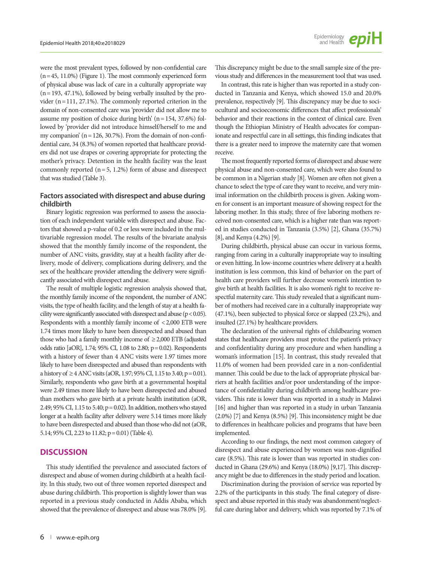were the most prevalent types, followed by non-confidential care  $(n=45, 11.0%)$  (Figure 1). The most commonly experienced form of physical abuse was lack of care in a culturally appropriate way  $(n= 193, 47.1\%)$ , followed by being verbally insulted by the provider (n=111, 27.1%). The commonly reported criterion in the domain of non-consented care was 'provider did not allow me to assume my position of choice during birth' (n= 154, 37.6%) followed by 'provider did not introduce himself/herself to me and my companion'  $(n = 126, 30.7\%)$ . From the domain of non-confidential care, 34 (8.3%) of women reported that healthcare providers did not use drapes or covering appropriate for protecting the mother's privacy. Detention in the health facility was the least commonly reported  $(n=5, 1.2%)$  form of abuse and disrespect that was studied (Table 3).

## **Factors associated with disrespect and abuse during childbirth**

Binary logistic regression was performed to assess the association of each independent variable with disrespect and abuse. Factors that showed a p-value of 0.2 or less were included in the multivariable regression model. The results of the bivariate analysis showed that the monthly family income of the respondent, the number of ANC visits, gravidity, stay at a health facility after delivery, mode of delivery, complications during delivery, and the sex of the healthcare provider attending the delivery were significantly associated with disrespect and abuse.

The result of multiple logistic regression analysis showed that, the monthly family income of the respondent, the number of ANC visits, the type of health facility, and the length of stay at a health facility were significantly associated with disrespect and abuse ( $p < 0.05$ ). Respondents with a monthly family income of < 2,000 ETB were 1.74 times more likely to have been disrespected and abused than those who had a family monthly income of  $\geq$  2,000 ETB (adjusted odds ratio [aOR], 1.74; 95% CI, 1.08 to 2.80; p=0.02). Respondents with a history of fewer than 4 ANC visits were 1.97 times more likely to have been disrespected and abused than respondents with a history of ≥4 ANC visits (aOR, 1.97; 95% CI, 1.15 to 3.40; p = 0.01). Similarly, respondents who gave birth at a governmental hospital were 2.49 times more likely to have been disrespected and abused than mothers who gave birth at a private health institution (aOR, 2.49; 95% CI, 1.15 to 5.40; p=0.02). In addition, mothers who stayed longer at a health facility after delivery were 5.14 times more likely to have been disrespected and abused than those who did not (aOR, 5.14; 95% CI, 2.23 to 11.82; p= 0.01) (Table 4).

#### **DISCUSSION**

This study identified the prevalence and associated factors of disrespect and abuse of women during childbirth at a health facility. In this study, two out of three women reported disrespect and abuse during childbirth. This proportion is slightly lower than was reported in a previous study conducted in Addis Ababa, which showed that the prevalence of disrespect and abuse was 78.0% [9].

This discrepancy might be due to the small sample size of the previous study and differences in the measurement tool that was used.

In contrast, this rate is higher than was reported in a study conducted in Tanzania and Kenya, which showed 15.0 and 20.0% prevalence, respectively [9]. This discrepancy may be due to sociocultural and socioeconomic differences that affect professionals' behavior and their reactions in the context of clinical care. Even though the Ethiopian Ministry of Health advocates for companionate and respectful care in all settings, this finding indicates that there is a greater need to improve the maternity care that women receive.

The most frequently reported forms of disrespect and abuse were physical abuse and non-consented care, which were also found to be common in a Nigerian study [8]. Women are often not given a chance to select the type of care they want to receive, and very minimal information on the childbirth process is given. Asking women for consent is an important measure of showing respect for the laboring mother. In this study, three of five laboring mothers received non-consented care, which is a higher rate than was reported in studies conducted in Tanzania (3.5%) [2], Ghana (35.7%) [8], and Kenya (4.2%) [9].

During childbirth, physical abuse can occur in various forms, ranging from caring in a culturally inappropriate way to insulting or even hitting. In low-income countries where delivery at a health institution is less common, this kind of behavior on the part of health care providers will further decrease women's intention to give birth at health facilities. It is also women's right to receive respectful maternity care. This study revealed that a significant number of mothers had received care in a culturally inappropriate way (47.1%), been subjected to physical force or slapped (23.2%), and insulted (27.1%) by healthcare providers.

The declaration of the universal rights of childbearing women states that healthcare providers must protect the patient's privacy and confidentiality during any procedure and when handling a woman's information [15]. In contrast, this study revealed that 11.0% of women had been provided care in a non-confidential manner. This could be due to the lack of appropriate physical barriers at health facilities and/or poor understanding of the importance of confidentiality during childbirth among healthcare providers. This rate is lower than was reported in a study in Malawi [16] and higher than was reported in a study in urban Tanzania (2.0%) [7] and Kenya (8.5%) [9]. This inconsistency might be due to differences in healthcare policies and programs that have been implemented.

According to our findings, the next most common category of disrespect and abuse experienced by women was non-dignified care (8.5%). This rate is lower than was reported in studies conducted in Ghana (29.6%) and Kenya (18.0%) [9,17]. This discrepancy might be due to differences in the study period and location.

Discrimination during the provision of service was reported by 2.2% of the participants in this study. The final category of disrespect and abuse reported in this study was abandonment/neglectful care during labor and delivery, which was reported by 7.1% of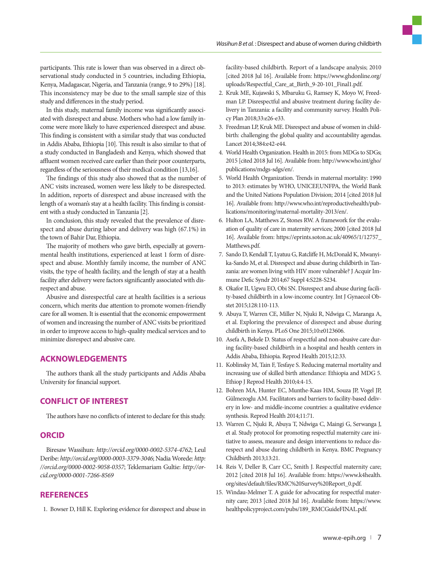participants. This rate is lower than was observed in a direct observational study conducted in 5 countries, including Ethiopia, Kenya, Madagascar, Nigeria, and Tanzania (range, 9 to 29%) [18]. This inconsistency may be due to the small sample size of this study and differences in the study period.

In this study, maternal family income was significantly associated with disrespect and abuse. Mothers who had a low family income were more likely to have experienced disrespect and abuse. This finding is consistent with a similar study that was conducted in Addis Ababa, Ethiopia [10]. This result is also similar to that of a study conducted in Bangladesh and Kenya, which showed that affluent women received care earlier than their poor counterparts, regardless of the seriousness of their medical condition [13,16].

The findings of this study also showed that as the number of ANC visits increased, women were less likely to be disrespected. In addition, reports of disrespect and abuse increased with the length of a woman's stay at a health facility. This finding is consistent with a study conducted in Tanzania [2].

In conclusion, this study revealed that the prevalence of disrespect and abuse during labor and delivery was high (67.1%) in the town of Bahir Dar, Ethiopia.

The majority of mothers who gave birth, especially at governmental health institutions, experienced at least 1 form of disrespect and abuse. Monthly family income, the number of ANC visits, the type of health facility, and the length of stay at a health facility after delivery were factors significantly associated with disrespect and abuse.

Abusive and disrespectful care at health facilities is a serious concern, which merits due attention to promote women-friendly care for all women. It is essential that the economic empowerment of women and increasing the number of ANC visits be prioritized in order to improve access to high-quality medical services and to minimize disrespect and abusive care.

# **ACKNOWLEDGEMENTS**

The authors thank all the study participants and Addis Ababa University for financial support.

# **CONFLICT OF INTEREST**

The authors have no conflicts of interest to declare for this study.

## **ORCID**

Biresaw Wassihun: *http://orcid.org/0000-0002-5374-4762*; Leul Deribe: *http://orcid.org/0000-0003-3379-3046*; Nadia Worede: *http: //orcid.org/0000-0002-9058-0357*; Teklemariam Gultie: *http://orcid.org/0000-0001-7266-8569* 

# **REFERENCES**

1. Bowser D, Hill K. Exploring evidence for disrespect and abuse in

facility-based childbirth. Report of a landscape analysis; 2010 [cited 2018 Jul 16]. Available from: https://www.ghdonline.org/ uploads/Respectful\_Care\_at\_Birth\_9-20-101\_Final1.pdf.

- 2. Kruk ME, Kujawski S, Mbaruku G, Ramsey K, Moyo W, Freedman LP. Disrespectful and abusive treatment during facility delivery in Tanzania: a facility and community survey. Health Policy Plan 2018;33:e26-e33.
- 3. Freedman LP, Kruk ME. Disrespect and abuse of women in childbirth: challenging the global quality and accountability agendas. Lancet 2014;384:e42-e44.
- 4. World Health Organization. Health in 2015: from MDGs to SDGs; 2015 [cited 2018 Jul 16]. Available from: [http://www.who.int/gho/](http://www.who.int/gho/publications/mdgs-sdgs/en/)  [publications/mdgs-sdgs/en/](http://www.who.int/gho/publications/mdgs-sdgs/en/).
- 5. World Health Organization. Trends in maternal mortality: 1990 to 2013: estimates by WHO, UNICEF,UNFPA, the World Bank and the United Nations Population Division; 2014 [cited 2018 Jul 16]. Available from: http://www.who.int/reproductivehealth/publications/monitoring/maternal-mortality-2013/en/.
- 6. Hulton LA, Matthews Z, Stones RW. A framework for the evaluation of quality of care in maternity services; 2000 [cited 2018 Jul 16]. Available from: https://eprints.soton.ac.uk/40965/1/12757\_ Matthews.pdf.
- 7. Sando D, Kendall T, Lyatuu G, Ratcliffe H, McDonald K, Mwanyika-Sando M, et al. Disrespect and abuse during childbirth in Tanzania: are women living with HIV more vulnerable? J Acquir Immune Defic Syndr 2014;67 Suppl 4:S228-S234.
- 8. Okafor II, Ugwu EO, Obi SN. Disrespect and abuse during facility-based childbirth in a low-income country. Int J Gynaecol Obstet 2015;128:110-113.
- 9. Abuya T, Warren CE, Miller N, Njuki R, Ndwiga C, Maranga A, et al. Exploring the prevalence of disrespect and abuse during childbirth in Kenya. PLoS One 2015;10:e0123606.
- 10. Asefa A, Bekele D. Status of respectful and non-abusive care during facility-based childbirth in a hospital and health centers in Addis Ababa, Ethiopia. Reprod Health 2015;12:33.
- 11. Koblinsky M, Tain F, Tesfaye S. Reducing maternal mortality and increasing use of skilled birth attendance: Ethiopia and MDG 5. Ethiop J Reprod Health 2010;4:4-15.
- 12. Bohren MA, Hunter EC, Munthe-Kaas HM, Souza JP, Vogel JP, Gülmezoglu AM. Facilitators and barriers to facility-based delivery in low- and middle-income countries: a qualitative evidence synthesis. Reprod Health 2014;11:71.
- 13. Warren C, Njuki R, Abuya T, Ndwiga C, Maingi G, Serwanga J, et al. Study protocol for promoting respectful maternity care initiative to assess, measure and design interventions to reduce disrespect and abuse during childbirth in Kenya. BMC Pregnancy Childbirth 2013;13:21.
- 14. Reis V, Deller B, Carr CC, Smith J. Respectful maternity care; 2012 [cited 2018 Jul 16]. Available from: https://www.k4health. org/sites/default/files/RMC%20Survey%20Report\_0.pdf.
- 15. Windau-Melmer T. A guide for advocating for respectful maternity care; 2013 [cited 2018 Jul 16]. Available from: https://www. healthpolicyproject.com/pubs/189\_RMCGuideFINAL.pdf.